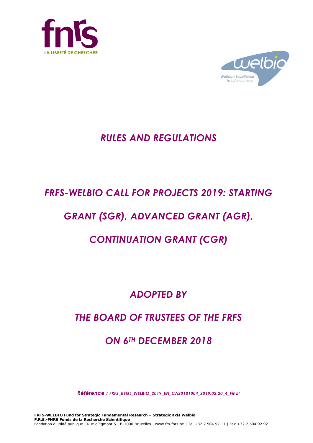



# *RULES AND REGULATIONS*

# *FRFS-WELBIO CALL FOR PROJECTS 2019: STARTING*

# *GRANT (SGR), ADVANCED GRANT (AGR),*

# *CONTINUATION GRANT (CGR)*

*ADOPTED BY*

# *THE BOARD OF TRUSTEES OF THE FRFS*

# *ON 6TH DECEMBER 2018*

*Référence : FRFS\_REGL\_WELBIO\_2019\_EN\_CA20181004\_2019.02.20\_4\_Final*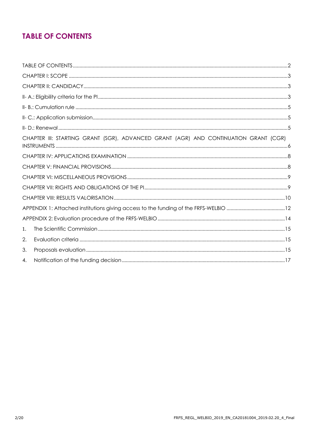# **TABLE OF CONTENTS**

|                | CHAPTER III: STARTING GRANT (SGR), ADVANCED GRANT (AGR) AND CONTINUATION GRANT (CGR) |  |
|----------------|--------------------------------------------------------------------------------------|--|
|                |                                                                                      |  |
|                |                                                                                      |  |
|                |                                                                                      |  |
|                |                                                                                      |  |
|                |                                                                                      |  |
|                |                                                                                      |  |
|                |                                                                                      |  |
| 1 <sub>1</sub> |                                                                                      |  |
| 2.             |                                                                                      |  |
| 3.             |                                                                                      |  |
| 4.             |                                                                                      |  |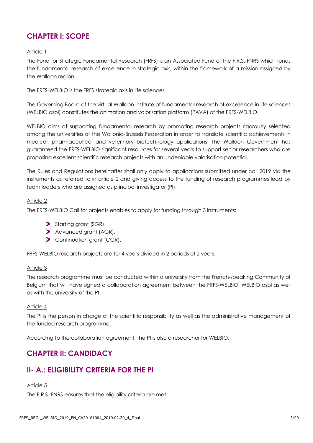# **CHAPTER I: SCOPE**

#### Article 1

The Fund for Strategic Fundamental Research (FRFS) is an Associated Fund of the F.R.S.-FNRS which funds the fundamental research of excellence in strategic axis, within the framework of a mission assigned by the Walloon region.

The FRFS-WELBIO is the FRFS strategic axis in life sciences.

The Governing Board of the virtual Walloon institute of fundamental research of excellence in life sciences (WELBIO asbl) constitutes the animation and valorisation platform (PAVA) of the FRFS-WELBIO.

WELBIO aims at supporting fundamental research by promoting research projects rigorously selected among the universities of the Wallonia-Brussels Federation in order to translate scientific achievements in medical, pharmaceutical and veterinary biotechnology applications. The Walloon Government has guaranteed the FRFS-WELBIO significant resources for several years to support senior researchers who are proposing excellent scientific research projects with an undeniable valorisation potential.

The Rules and Regulations hereinafter shall only apply to applications submitted under call 2019 via the instruments as referred to in article 2 and giving access to the funding of research programmes lead by team leaders who are assigned as principal investigator (PI).

#### Article 2

The FRFS-WELBIO Call for projects enables to apply for funding through 3 instruments:

- Starting grant (SGR),
- Advanced grant (AGR),
- **D** Continuation grant (CGR).

FRFS-WELBIO research projects are for 4 years divided in 2 periods of 2 years.

#### Article 3

The research programme must be conducted within a university from the French-speaking Community of Belgium that will have signed a collaboration agreement between the FRFS-WELBIO, WELBIO asbl as well as with the university of the PI.

#### Article 4

The PI is the person in charge of the scientific responsibility as well as the administrative management of the funded research programme.

According to the collaboration agreement, the PI is also a researcher for WELBIO.

## **CHAPTER II: CANDIDACY**

## **II- A.: ELIGIBILITY CRITERIA FOR THE PI**

#### Article 5

The F.R.S.-FNRS ensures that the eligibility criteria are met.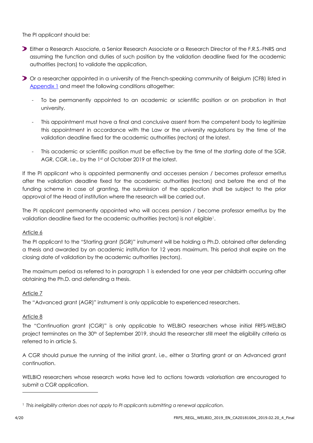The PI applicant should be:

- Either a Research Associate, a Senior Research Associate or a Research Director of the F.R.S.-FNRS and assuming the function and duties of such position by the validation deadline fixed for the academic authorities (rectors) to validate the application,
- Or a researcher appointed in a university of the French-speaking community of Belgium (CFB) listed in [Appendix](#page-11-0) 1 and meet the following conditions altogether:
	- To be permanently appointed to an academic or scientific position or on probation in that university.
	- This appointment must have a final and conclusive assent from the competent body to legitimize this appointment in accordance with the Law or the university regulations by the time of the validation deadline fixed for the academic authorities (rectors) at the latest.
	- This academic or scientific position must be effective by the time of the starting date of the SGR, AGR, CGR, i.e., by the 1st of October 2019 at the latest.

If the PI applicant who is appointed permanently and accesses pension / becomes professor emeritus after the validation deadline fixed for the academic authorities (rectors) and before the end of the funding scheme in case of granting, the submission of the application shall be subject to the prior approval of the Head of institution where the research will be carried out.

The PI applicant permanently appointed who will access pension / become professor emeritus by the validation deadline fixed for the academic authorities (rectors) is not eligible1.

#### Article 6

The PI applicant to the "Starting grant (SGR)" instrument will be holding a Ph.D. obtained after defending a thesis and awarded by an academic institution for 12 years maximum. This period shall expire on the closing date of validation by the academic authorities (rectors).

The maximum period as referred to in paragraph 1 is extended for one year per childbirth occurring after obtaining the Ph.D. and defending a thesis.

#### Article 7

The "Advanced grant (AGR)" instrument is only applicable to experienced researchers.

#### Article 8

The "Continuation grant (CGR)" is only applicable to WELBIO researchers whose initial FRFS-WELBIO project terminates on the 30<sup>th</sup> of September 2019, should the researcher still meet the eligibility criteria as referred to in article 5.

A CGR should pursue the running of the initial grant, i.e., either a Starting grant or an Advanced grant continuation.

WELBIO researchers whose research works have led to actions towards valorisation are encouraged to submit a CGR application.

l

<sup>1</sup> *This ineligibility criterion does not apply to PI applicants submitting a renewal application.*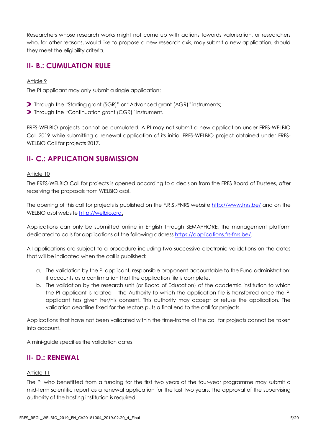Researchers whose research works might not come up with actions towards valorisation, or researchers who, for other reasons, would like to propose a new research axis, may submit a new application, should they meet the eligibility criteria.

### **II- B.: CUMULATION RULE**

#### Article 9

The PI applicant may only submit a single application:

- **Through the "Starting grant (SGR)" or "Advanced grant (AGR)" instruments;**
- **Through the "Continuation grant (CGR)" instrument.**

FRFS-WELBIO projects cannot be cumulated. A PI may not submit a new application under FRFS-WELBIO Call 2019 while submitting a renewal application of its initial FRFS-WELBIO project obtained under FRFS-WELBIO Call for projects 2017.

### **II- C.: APPLICATION SUBMISSION**

#### Article 10

The FRFS-WELBIO Call for projects is opened according to a decision from the FRFS Board of Trustees, after receiving the proposals from WELBIO asbl.

The opening of this call for projects is published on the F.R.S.-FNRS website<http://www.fnrs.be/> and on the WELBIO asbl website [http://welbio.org.](http://welbio.org/)

Applications can only be submitted online in English through SEMAPHORE, the management platform dedicated to calls for applications at the following address [https://applications.frs-fnrs.be/.](https://applications.frs-fnrs.be/)

All applications are subject to a procedure including two successive electronic validations on the dates that will be indicated when the call is published:

- a. The validation by the PI applicant, responsible proponent accountable to the Fund administration: it accounts as a confirmation that the application file is complete.
- b. The validation by the research unit (or Board of Education) of the academic institution to which the PI applicant is related – the Authority to which the application file is transferred once the PI applicant has given her/his consent. This authority may accept or refuse the application. The validation deadline fixed for the rectors puts a final end to the call for projects.

Applications that have not been validated within the time-frame of the call for projects cannot be taken into account.

A mini-guide specifies the validation dates.

### **II- D.: RENEWAL**

#### Article 11

The PI who benefitted from a funding for the first two years of the four-year programme may submit a mid-term scientific report as a renewal application for the last two years. The approval of the supervising authority of the hosting institution is required.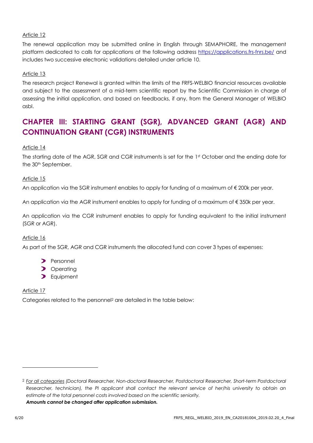The renewal application may be submitted online in English through SEMAPHORE, the management platform dedicated to calls for applications at the following address<https://applications.frs-fnrs.be/> and includes two successive electronic validations detailed under article 10.

#### Article 13

The research project Renewal is granted within the limits of the FRFS-WELBIO financial resources available and subject to the assessment of a mid-term scientific report by the Scientific Commission in charge of assessing the initial application, and based on feedbacks, if any, from the General Manager of WELBIO asbl.

# **CHAPTER III: STARTING GRANT (SGR), ADVANCED GRANT (AGR) AND CONTINUATION GRANT (CGR) INSTRUMENTS**

#### Article 14

The starting date of the AGR, SGR and CGR instruments is set for the 1st October and the ending date for the 30<sup>th</sup> September.

#### Article 15

An application via the SGR instrument enables to apply for funding of a maximum of  $\epsilon$  200k per year.

An application via the AGR instrument enables to apply for funding of a maximum of  $\epsilon$  350k per year.

An application via the CGR instrument enables to apply for funding equivalent to the initial instrument (SGR or AGR).

#### Article 16

As part of the SGR, AGR and CGR instruments the allocated fund can cover 3 types of expenses:

- **>** Personnel
- **D** Operating
- > Equipment

Article 17

Categories related to the personnel<sup>2</sup> are detailed in the table below:

l

<sup>2</sup> *For all categories (Doctoral Researcher, Non-doctoral Researcher, Postdoctoral Researcher, Short-term Postdoctoral Researcher, technician), the PI applicant shall contact the relevant service of her/his university to obtain an estimate of the total personnel costs involved based on the scientific seniority. Amounts cannot be changed after application submission.*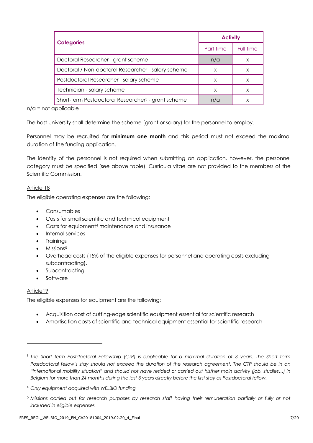|                                                                | <b>Activity</b> |           |
|----------------------------------------------------------------|-----------------|-----------|
| <b>Categories</b>                                              | Part time       | Full time |
| Doctoral Researcher - grant scheme                             | n/a             | x         |
| Doctoral / Non-doctoral Researcher - salary scheme             | X               | X         |
| Postdoctoral Researcher - salary scheme                        | X               | x         |
| Technician - salary scheme                                     | X               | x         |
| Short-term Postdoctoral Researcher <sup>3</sup> - grant scheme | n/a             |           |

n/a = not applicable

The host university shall determine the scheme (grant or salary) for the personnel to employ.

Personnel may be recruited for **minimum one month** and this period must not exceed the maximal duration of the funding application.

The identity of the personnel is not required when submitting an application, however, the personnel category must be specified (see above table). Curricula vitae are not provided to the members of the Scientific Commission.

#### Article 18

The eligible operating expenses are the following:

- Consumables
- Costs for small scientific and technical equipment
- Costs for equipment<sup>4</sup> maintenance and insurance
- Internal services
- Trainings
- Missions<sup>5</sup>
- Overhead costs (15% of the eligible expenses for personnel and operating costs excluding subcontracting).
- Subcontracting
- Software

#### Article19

 $\overline{a}$ 

The eligible expenses for equipment are the following:

- Acquisition cost of cutting-edge scientific equipment essential for scientific research
- Amortisation costs of scientific and technical equipment essential for scientific research

<sup>&</sup>lt;sup>3</sup> The Short term Postdoctoral Fellowship (CTP) is applicable for a maximal duration of 3 years. The Short term Postdoctoral fellow's stay should not exceed the duration of the research agreement. The CTP should be in an *"international mobility situation" and should not have resided or carried out his/her main activity (job, studies…) in Belgium for more than 24 months during the last 3 years directly before the first stay as Postdoctoral fellow.*

<sup>4</sup> *Only equipment acquired with WELBIO funding*

<sup>5</sup> *Missions carried out for research purposes by research staff having their remuneration partially or fully or not included in eligible expenses.*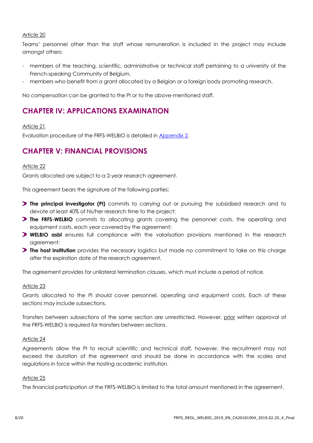Teams' personnel other than the staff whose remuneration is included in the project may include amongst others:

- members of the teaching, scientific, administrative or technical staff pertaining to a university of the French-speaking Community of Belgium,
- members who benefit from a grant allocated by a Belgian or a foreign body promoting research.

No compensation can be granted to the PI or to the above-mentioned staff.

## **CHAPTER IV: APPLICATIONS EXAMINATION**

#### Article 21

Evaluation procedure of the FRFS-WELBIO is detailed i[n Appendix](#page-13-0) 2.

### **CHAPTER V: FINANCIAL PROVISIONS**

#### Article 22

Grants allocated are subject to a 2-year research agreement.

This agreement bears the signature of the following parties:

- **The principal investigator (PI)** commits to carrying out or pursuing the subsidised research and to devote at least 40% of his/her research time to the project;
- **The FRFS-WELBIO** commits to allocating grants covering the personnel costs, the operating and equipment costs, each year covered by the agreement;
- **WELBIO asbl** ensures full compliance with the valorisation provisions mentioned in the research agreement;
- **The host institution** provides the necessary logistics but made no commitment to take on this charge after the expiration date of the research agreement.

The agreement provides for unilateral termination clauses, which must include a period of notice.

#### Article 23

Grants allocated to the PI should cover personnel, operating and equipment costs. Each of these sections may include subsections.

Transfers between subsections of the same section are unrestricted. However, prior written approval of the FRFS-WELBIO is required for transfers between sections.

#### Article 24

Agreements allow the PI to recruit scientific and technical staff, however, the recruitment may not exceed the duration of the agreement and should be done in accordance with the scales and regulations in force within the hosting academic institution.

#### Article 25

The financial participation of the FRFS-WELBIO is limited to the total amount mentioned in the agreement.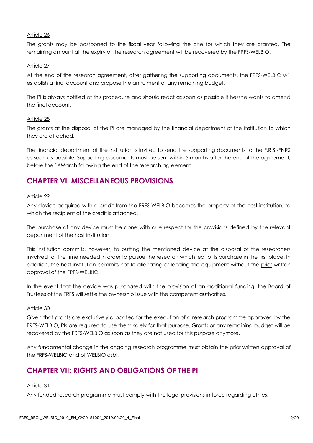The grants may be postponed to the fiscal year following the one for which they are granted. The remaining amount at the expiry of the research agreement will be recovered by the FRFS-WELBIO.

#### Article 27

At the end of the research agreement, after gathering the supporting documents, the FRFS-WELBIO will establish a final account and propose the annulment of any remaining budget.

The PI is always notified of this procedure and should react as soon as possible if he/she wants to amend the final account.

#### Article 28

The grants at the disposal of the PI are managed by the financial department of the institution to which they are attached.

The financial department of the institution is invited to send the supporting documents to the F.R.S.-FNRS as soon as possible. Supporting documents must be sent within 5 months after the end of the agreement, before the 1st March following the end of the research agreement.

### **CHAPTER VI: MISCELLANEOUS PROVISIONS**

#### Article 29

Any device acquired with a credit from the FRFS-WELBIO becomes the property of the host institution, to which the recipient of the credit is attached.

The purchase of any device must be done with due respect for the provisions defined by the relevant department of the host institution.

This institution commits, however, to putting the mentioned device at the disposal of the researchers involved for the time needed in order to pursue the research which led to its purchase in the first place. In addition, the host institution commits not to alienating or lending the equipment without the prior written approval of the FRFS-WELBIO.

In the event that the device was purchased with the provision of an additional funding, the Board of Trustees of the FRFS will settle the ownership issue with the competent authorities.

#### Article 30

Given that grants are exclusively allocated for the execution of a research programme approved by the FRFS-WELBIO, PIs are required to use them solely for that purpose. Grants or any remaining budget will be recovered by the FRFS-WELBIO as soon as they are not used for this purpose anymore.

Any fundamental change in the ongoing research programme must obtain the prior written approval of the FRFS-WELBIO and of WELBIO asbl.

### **CHAPTER VII: RIGHTS AND OBLIGATIONS OF THE PI**

### Article 31

Any funded research programme must comply with the legal provisions in force regarding ethics.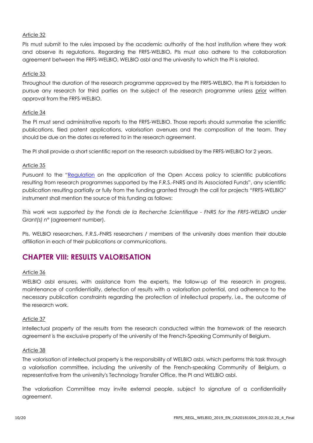PIs must submit to the rules imposed by the academic authority of the host institution where they work and observe its regulations. Regarding the FRFS-WELBIO, PIs must also adhere to the collaboration agreement between the FRFS-WELBIO, WELBIO asbl and the university to which the PI is related.

#### Article 33

Throughout the duration of the research programme approved by the FRFS-WELBIO, the PI is forbidden to pursue any research for third parties on the subject of the research programme unless prior written approval from the FRFS-WELBIO.

#### Article 34

The PI must send administrative reports to the FRFS-WELBIO. Those reports should summarise the scientific publications, filed patent applications, valorisation avenues and the composition of the team. They should be due on the dates as referred to in the research agreement.

The PI shall provide a short scientific report on the research subsidised by the FRFS-WELBIO for 2 years.

#### Article 35

Pursuant to the "[Regulation](http://www.frs-fnrs.be/docs/Reglement_OPEN_ACCESS_EN.pdf) on the application of the Open Access policy to scientific publications resulting from research programmes supported by the F.R.S.-FNRS and its Associated Funds", any scientific publication resulting partially or fully from the funding granted through the call for projects "FRFS-WELBIO" instrument shall mention the source of this funding as follows:

*This work was supported by the Fonds de la Recherche Scientifique - FNRS for the FRFS-WELBIO under Grant(s) n°* (agreement number).

PIs, WELBIO researchers, F.R.S.-FNRS researchers / members of the university does mention their double affiliation in each of their publications or communications.

## **CHAPTER VIII: RESULTS VALORISATION**

#### Article 36

WELBIO asbl ensures, with assistance from the experts, the follow-up of the research in progress, maintenance of confidentiality, detection of results with a valorisation potential, and adherence to the necessary publication constraints regarding the protection of intellectual property, i.e., the outcome of the research work.

#### Article 37

Intellectual property of the results from the research conducted within the framework of the research agreement is the exclusive property of the university of the French-Speaking Community of Belgium.

#### Article 38

The valorisation of intellectual property is the responsibility of WELBIO asbl, which performs this task through a valorisation committee, including the university of the French-speaking Community of Belgium, a representative from the university's Technology Transfer Office, the PI and WELBIO asbl.

The valorisation Committee may invite external people, subject to signature of a confidentiality agreement.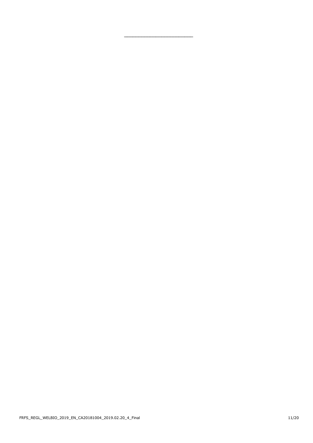\_\_\_\_\_\_\_\_\_\_\_\_\_\_\_\_\_\_\_\_\_\_\_\_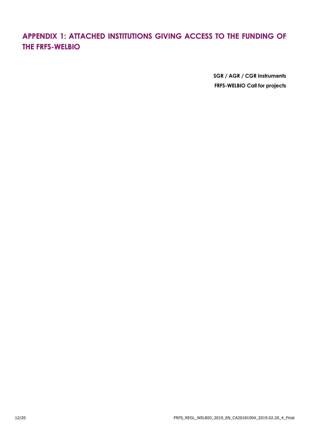# <span id="page-11-0"></span>**APPENDIX 1: ATTACHED INSTITUTIONS GIVING ACCESS TO THE FUNDING OF THE FRFS-WELBIO**

**SGR / AGR / CGR Instruments FRFS-WELBIO Call for projects**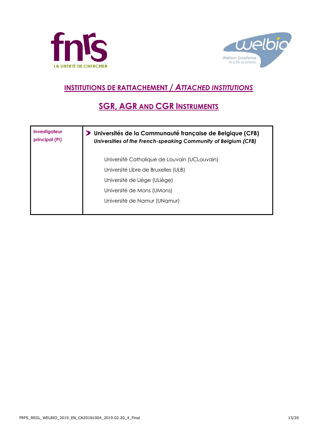



# **INSTITUTIONS DE RATTACHEMENT /** *ATTACHED INSTITUTIONS*

# **SGR, AGR AND CGR INSTRUMENTS**

| Investigateur<br>principal (PI) | Universités de la Communauté française de Belgique (CFB)<br>Universities of the French-speaking Community of Belgium (CFB) |
|---------------------------------|----------------------------------------------------------------------------------------------------------------------------|
|                                 | Université Catholique de Louvain (UCLouvain)                                                                               |
|                                 | Université Libre de Bruxelles (ULB)                                                                                        |
|                                 | Université de Liège (ULiège)                                                                                               |
|                                 | Université de Mons (UMons)                                                                                                 |
|                                 | Université de Namur (UNamur)                                                                                               |
|                                 |                                                                                                                            |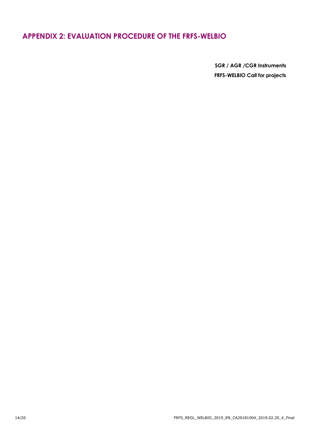# <span id="page-13-0"></span>**APPENDIX 2: EVALUATION PROCEDURE OF THE FRFS-WELBIO**

**SGR / AGR /CGR Instruments FRFS-WELBIO Call for projects**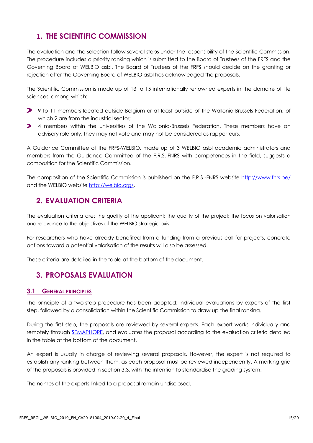# **1. THE SCIENTIFIC COMMISSION**

The evaluation and the selection follow several steps under the responsibility of the Scientific Commission. The procedure includes a priority ranking which is submitted to the Board of Trustees of the FRFS and the Governing Board of WELBIO asbl. The Board of Trustees of the FRFS should decide on the granting or rejection after the Governing Board of WELBIO asbl has acknowledged the proposals.

The Scientific Commission is made up of 13 to 15 internationally renowned experts in the domains of life sciences, among which:

- 9 to 11 members located outside Belgium or at least outside of the Wallonia-Brussels Federation, of which 2 are from the industrial sector:
- 4 members within the universities of the Wallonia-Brussels Federation. These members have an advisory role only; they may not vote and may not be considered as rapporteurs.

A Guidance Committee of the FRFS-WELBIO, made up of 3 WELBIO asbl academic administrators and members from the Guidance Committee of the F.R.S.-FNRS with competences in the field, suggests a composition for the Scientific Commission.

The composition of the Scientific Commission is published on the F.R.S.-FNRS website<http://www.fnrs.be/> and the WELBIO website [http://welbio.org/.](http://welbio.org/)

# **2. EVALUATION CRITERIA**

The evaluation criteria are: the quality of the applicant; the quality of the project; the focus on valorisation and relevance to the objectives of the WELBIO strategic axis.

For researchers who have already benefited from a funding from a previous call for projects, concrete actions toward a potential valorisation of the results will also be assessed.

These criteria are detailed in the table at the bottom of the document.

## **3. PROPOSALS EVALUATION**

#### **3.1 GENERAL PRINCIPLES**

The principle of a two-step procedure has been adopted: individual evaluations by experts of the first step, followed by a consolidation within the Scientific Commission to draw up the final ranking.

During the first step, the proposals are reviewed by several experts. Each expert works individually and remotely through [SEMAPHORE,](https://applications.frs-fnrs.be/) and evaluates the proposal according to the evaluation criteria detailed in the table at the bottom of the document.

An expert is usually in charge of reviewing several proposals. However, the expert is not required to establish any ranking between them, as each proposal must be reviewed independently. A marking grid of the proposals is provided in section 3.3, with the intention to standardise the grading system.

The names of the experts linked to a proposal remain undisclosed.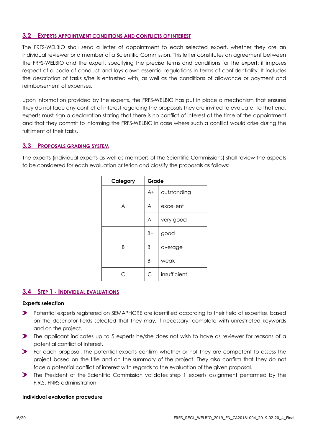#### **3.2 EXPERTS APPOINTMENT CONDITIONS AND CONFLICTS OF INTEREST**

The FRFS-WELBIO shall send a letter of appointment to each selected expert, whether they are an individual reviewer or a member of a Scientific Commission. This letter constitutes an agreement between the FRFS-WELBIO and the expert, specifying the precise terms and conditions for the expert: it imposes respect of a code of conduct and lays down essential regulations in terms of confidentiality. It includes the description of tasks s/he is entrusted with, as well as the conditions of allowance or payment and reimbursement of expenses.

Upon information provided by the experts, the FRFS-WELBIO has put in place a mechanism that ensures they do not face any conflict of interest regarding the proposals they are invited to evaluate. To that end, experts must sign a declaration stating that there is no conflict of interest at the time of the appointment and that they commit to informing the FRFS-WELBIO in case where such a conflict would arise during the fulfilment of their tasks.

#### **3.3 PROPOSALS GRADING SYSTEM**

The experts (individual experts as well as members of the Scientific Commissions) shall review the aspects to be considered for each evaluation criterion and classify the proposals as follows:

| Category | Grade |              |
|----------|-------|--------------|
|          | $A+$  | outstanding  |
| A        | A     | excellent    |
|          | A-    | very good    |
|          | B+    | good         |
| B        | B     | average      |
|          | В-    | weak         |
|          | С     | insufficient |

#### **3.4 STEP 1 - INDIVIDUAL EVALUATIONS**

#### **Experts selection**

- Potential experts registered on SEMAPHORE are identified according to their field of expertise, based on the descriptor fields selected that they may, if necessary, complete with unrestricted keywords and on the project.
- The applicant indicates up to 5 experts he/she does not wish to have as reviewer for reasons of a potential conflict of interest.
- $\blacktriangleright$ For each proposal, the potential experts confirm whether or not they are competent to assess the project based on the title and on the summary of the project. They also confirm that they do not face a potential conflict of interest with regards to the evaluation of the given proposal.
- $\blacktriangleright$ The President of the Scientific Commission validates step 1 experts assignment performed by the F.R.S.-FNRS administration.

#### **Individual evaluation procedure**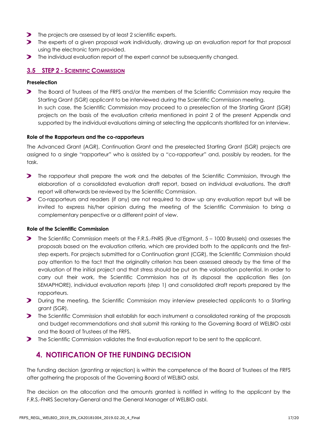- The projects are assessed by at least 2 scientific experts.
- The experts of a given proposal work individually, drawing up an evaluation report for that proposal using the electronic form provided.
- **The individual evaluation report of the expert cannot be subsequently changed.**

#### **3.5 STEP 2 - SCIENTIFIC COMMISSION**

#### **Preselection**

The Board of Trustees of the FRFS and/or the members of the Scientific Commission may require the Starting Grant (SGR) applicant to be interviewed during the Scientific Commission meeting. In such case, the Scientific Commission may proceed to a preselection of the Starting Grant (SGR) projects on the basis of the evaluation criteria mentioned in point 2 of the present Appendix and supported by the individual evaluations aiming at selecting the applicants shortlisted for an interview.

#### **Role of the Rapporteurs and the co-rapporteurs**

The Advanced Grant (AGR), Continuation Grant and the preselected Starting Grant (SGR) projects are assigned to a single "rapporteur" who is assisted by a "co-rapporteur" and, possibly by readers, for the task.

- $\blacktriangleright$ The rapporteur shall prepare the work and the debates of the Scientific Commission, through the elaboration of a consolidated evaluation draft report, based on individual evaluations. The draft report will afterwards be reviewed by the Scientific Commission.
- Co-rapporteurs and readers (if any) are not required to draw up any evaluation report but will be invited to express his/her opinion during the meeting of the Scientific Commission to bring a complementary perspective or a different point of view.

#### **Role of the Scientific Commission**

- $\blacktriangleright$ The Scientific Commission meets at the F.R.S.-FNRS (Rue d'Egmont, 5 – 1000 Brussels) and assesses the proposals based on the evaluation criteria, which are provided both to the applicants and the firststep experts. For projects submitted for a Continuation grant (CGR), the Scientific Commission should pay attention to the fact that the originality criterion has been assessed already by the time of the evaluation of the initial project and that stress should be put on the valorisation potential. In order to carry out their work, the Scientific Commission has at its disposal the application files (on [SEMAPHORE\)](https://applications.frs-fnrs.be/), individual evaluation reports (step 1) and consolidated draft reports prepared by the rapporteurs.
- During the meeting, the Scientific Commission may interview preselected applicants to a Starting grant (SGR).
- **The Scientific Commission shall establish for each instrument a consolidated ranking of the proposals** and budget recommendations and shall submit this ranking to the Governing Board of WELBIO asbl and the Board of Trustees of the FRFS.
- **The Scientific Commission validates the final evaluation report to be sent to the applicant.**

### **4. NOTIFICATION OF THE FUNDING DECISION**

The funding decision (granting or rejection) is within the competence of the Board of Trustees of the FRFS after gathering the proposals of the Governing Board of WELBIO asbl.

The decision on the allocation and the amounts granted is notified in writing to the applicant by the F.R.S.-FNRS Secretary-General and the General Manager of WELBIO asbl.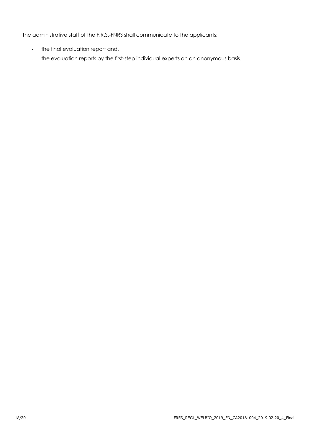The administrative staff of the F.R.S.-FNRS shall communicate to the applicants:

- the final evaluation report and,
- the evaluation reports by the first-step individual experts on an anonymous basis.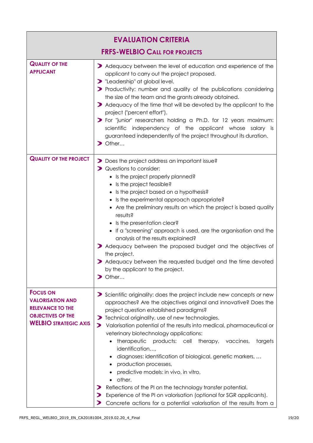| <b>EVALUATION CRITERIA</b>                                                                                                        |                                                                                                                                                                                                                                                                                                                                                                                                                                                                                                                                                                                                                                                                                                                                                                                                                                    |  |  |  |  |  |
|-----------------------------------------------------------------------------------------------------------------------------------|------------------------------------------------------------------------------------------------------------------------------------------------------------------------------------------------------------------------------------------------------------------------------------------------------------------------------------------------------------------------------------------------------------------------------------------------------------------------------------------------------------------------------------------------------------------------------------------------------------------------------------------------------------------------------------------------------------------------------------------------------------------------------------------------------------------------------------|--|--|--|--|--|
| <b>FRFS-WELBIO CALL FOR PROJECTS</b>                                                                                              |                                                                                                                                                                                                                                                                                                                                                                                                                                                                                                                                                                                                                                                                                                                                                                                                                                    |  |  |  |  |  |
| <b>QUALITY OF THE</b><br><b>APPLICANT</b>                                                                                         | > Adequacy between the level of education and experience of the<br>applicant to carry out the project proposed.<br>> "Leadership" at global level.<br>> Productivity: number and quality of the publications considering<br>the size of the team and the grants already obtained.<br>Adequacy of the time that will be devoted by the applicant to the<br>project ("percent effort").<br>> For "junior" researchers holding a Ph.D. for 12 years maximum:<br>scientific independency of the applicant whose salary is<br>guaranteed independently of the project throughout its duration.<br>$\triangleright$ Other                                                                                                                                                                                                                |  |  |  |  |  |
| <b>QUALITY OF THE PROJECT</b>                                                                                                     | Does the project address an important issue?<br>> Questions to consider:<br>• Is the project properly planned?<br>• Is the project feasible?<br>• Is the project based on a hypothesis?<br>• Is the experimental approach appropriate?<br>• Are the preliminary results on which the project is based quality<br>results?<br>• Is the presentation clear?<br>• If a "screening" approach is used, are the organisation and the<br>analysis of the results explained?<br>> Adequacy between the proposed budget and the objectives of<br>the project.<br>> Adequacy between the requested budget and the time devoted<br>by the applicant to the project.<br>$\triangleright$ Other                                                                                                                                                 |  |  |  |  |  |
| <b>FOCUS ON</b><br><b>VALORISATION AND</b><br><b>RELEVANCE TO THE</b><br><b>OBJECTIVES OF THE</b><br><b>WELBIO STRATEGIC AXIS</b> | Scientific originality: does the project include new concepts or new<br>approaches? Are the objectives original and innovative? Does the<br>project question established paradigms?<br>> Technical originality, use of new technologies.<br>Valorisation potential of the results into medical, pharmaceutical or<br>⋗<br>veterinary biotechnology applications:<br>therapeutic<br>products: cell therapy,<br>vaccines,<br>targets<br>identification,<br>diagnoses: identification of biological, genetic markers,<br>production processes,<br>predictive models: in vivo, in vitro,<br>other.<br>$\bullet$<br>Reflections of the PI on the technology transfer potential.<br>↗<br>Experience of the PI on valorisation (optional for SGR applicants).<br>⋗<br>Concrete actions for a potential valorisation of the results from a |  |  |  |  |  |